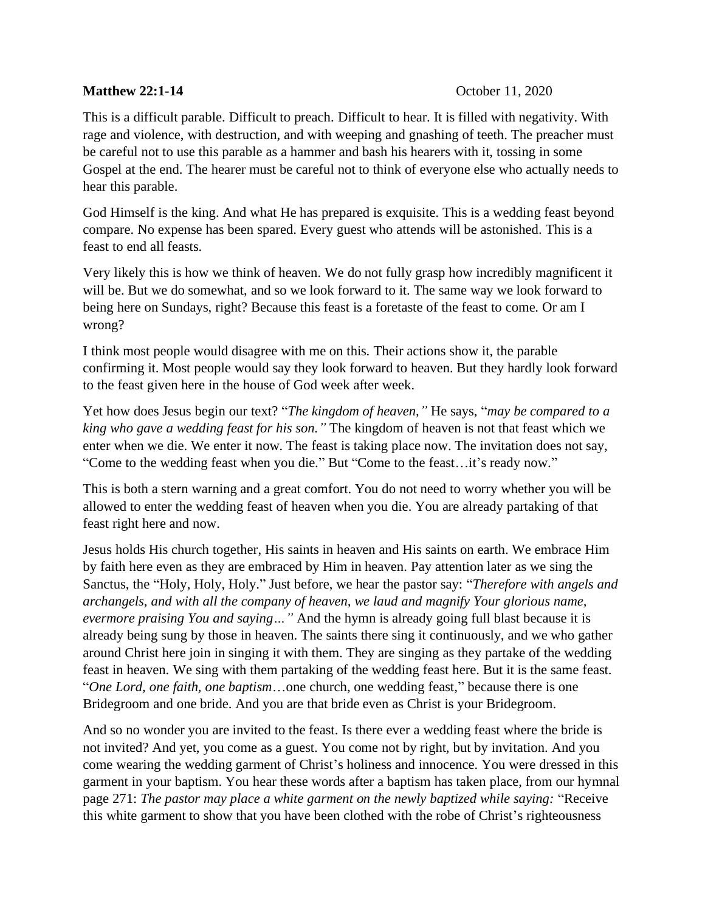## **Matthew 22:1-14** October 11, 2020

This is a difficult parable. Difficult to preach. Difficult to hear. It is filled with negativity. With rage and violence, with destruction, and with weeping and gnashing of teeth. The preacher must be careful not to use this parable as a hammer and bash his hearers with it, tossing in some Gospel at the end. The hearer must be careful not to think of everyone else who actually needs to hear this parable.

God Himself is the king. And what He has prepared is exquisite. This is a wedding feast beyond compare. No expense has been spared. Every guest who attends will be astonished. This is a feast to end all feasts.

Very likely this is how we think of heaven. We do not fully grasp how incredibly magnificent it will be. But we do somewhat, and so we look forward to it. The same way we look forward to being here on Sundays, right? Because this feast is a foretaste of the feast to come. Or am I wrong?

I think most people would disagree with me on this. Their actions show it, the parable confirming it. Most people would say they look forward to heaven. But they hardly look forward to the feast given here in the house of God week after week.

Yet how does Jesus begin our text? "*The kingdom of heaven,"* He says, "*may be compared to a king who gave a wedding feast for his son."* The kingdom of heaven is not that feast which we enter when we die. We enter it now. The feast is taking place now. The invitation does not say, "Come to the wedding feast when you die." But "Come to the feast…it's ready now."

This is both a stern warning and a great comfort. You do not need to worry whether you will be allowed to enter the wedding feast of heaven when you die. You are already partaking of that feast right here and now.

Jesus holds His church together, His saints in heaven and His saints on earth. We embrace Him by faith here even as they are embraced by Him in heaven. Pay attention later as we sing the Sanctus, the "Holy, Holy, Holy." Just before, we hear the pastor say: "*Therefore with angels and archangels, and with all the company of heaven, we laud and magnify Your glorious name, evermore praising You and saying…"* And the hymn is already going full blast because it is already being sung by those in heaven. The saints there sing it continuously, and we who gather around Christ here join in singing it with them. They are singing as they partake of the wedding feast in heaven. We sing with them partaking of the wedding feast here. But it is the same feast. "*One Lord, one faith, one baptism*…one church, one wedding feast," because there is one Bridegroom and one bride. And you are that bride even as Christ is your Bridegroom.

And so no wonder you are invited to the feast. Is there ever a wedding feast where the bride is not invited? And yet, you come as a guest. You come not by right, but by invitation. And you come wearing the wedding garment of Christ's holiness and innocence. You were dressed in this garment in your baptism. You hear these words after a baptism has taken place, from our hymnal page 271: *The pastor may place a white garment on the newly baptized while saying:* "Receive this white garment to show that you have been clothed with the robe of Christ's righteousness